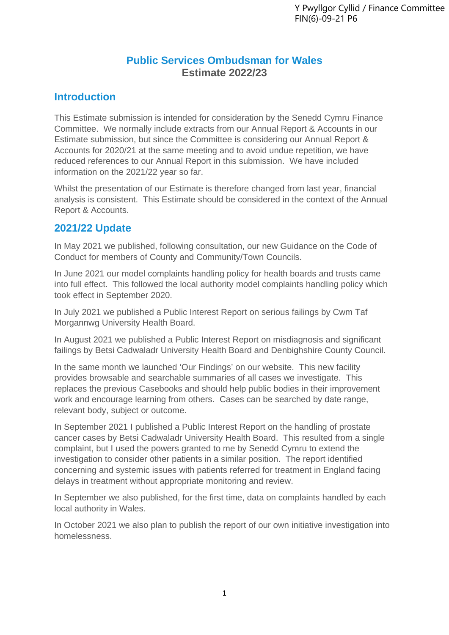# **Public Services Ombudsman for Wales Estimate 2022/23**

## **Introduction**

This Estimate submission is intended for consideration by the Senedd Cymru Finance Committee. We normally include extracts from our Annual Report & Accounts in our Estimate submission, but since the Committee is considering our Annual Report & Accounts for 2020/21 at the same meeting and to avoid undue repetition, we have reduced references to our Annual Report in this submission. We have included information on the 2021/22 year so far.

Whilst the presentation of our Estimate is therefore changed from last year, financial analysis is consistent. This Estimate should be considered in the context of the Annual Report & Accounts.

## **2021/22 Update**

In May 2021 we published, following consultation, our new Guidance on the Code of Conduct for members of County and Community/Town Councils.

In June 2021 our model complaints handling policy for health boards and trusts came into full effect. This followed the local authority model complaints handling policy which took effect in September 2020.

In July 2021 we published a Public Interest Report on serious failings by Cwm Taf Morgannwg University Health Board.

In August 2021 we published a Public Interest Report on misdiagnosis and significant failings by Betsi Cadwaladr University Health Board and Denbighshire County Council.

In the same month we launched 'Our Findings' on our website. This new facility provides browsable and searchable summaries of all cases we investigate. This replaces the previous Casebooks and should help public bodies in their improvement work and encourage learning from others. Cases can be searched by date range, relevant body, subject or outcome.

In September 2021 I published a Public Interest Report on the handling of prostate cancer cases by Betsi Cadwaladr University Health Board. This resulted from a single complaint, but I used the powers granted to me by Senedd Cymru to extend the investigation to consider other patients in a similar position. The report identified concerning and systemic issues with patients referred for treatment in England facing delays in treatment without appropriate monitoring and review.

In September we also published, for the first time, data on complaints handled by each local authority in Wales.

In October 2021 we also plan to publish the report of our own initiative investigation into homelessness.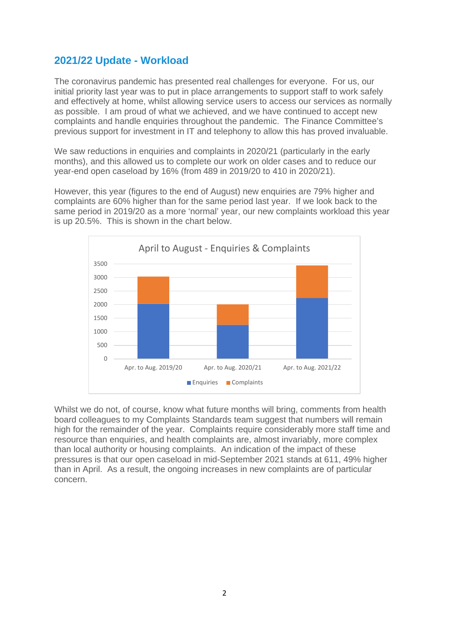### **2021/22 Update - Workload**

The coronavirus pandemic has presented real challenges for everyone. For us, our initial priority last year was to put in place arrangements to support staff to work safely and effectively at home, whilst allowing service users to access our services as normally as possible. I am proud of what we achieved, and we have continued to accept new complaints and handle enquiries throughout the pandemic. The Finance Committee's previous support for investment in IT and telephony to allow this has proved invaluable.

We saw reductions in enquiries and complaints in 2020/21 (particularly in the early months), and this allowed us to complete our work on older cases and to reduce our year-end open caseload by 16% (from 489 in 2019/20 to 410 in 2020/21).

However, this year (figures to the end of August) new enquiries are 79% higher and complaints are 60% higher than for the same period last year. If we look back to the same period in 2019/20 as a more 'normal' year, our new complaints workload this year is up 20.5%. This is shown in the chart below.



Whilst we do not, of course, know what future months will bring, comments from health board colleagues to my Complaints Standards team suggest that numbers will remain high for the remainder of the year. Complaints require considerably more staff time and resource than enquiries, and health complaints are, almost invariably, more complex than local authority or housing complaints. An indication of the impact of these pressures is that our open caseload in mid-September 2021 stands at 611, 49% higher than in April. As a result, the ongoing increases in new complaints are of particular concern.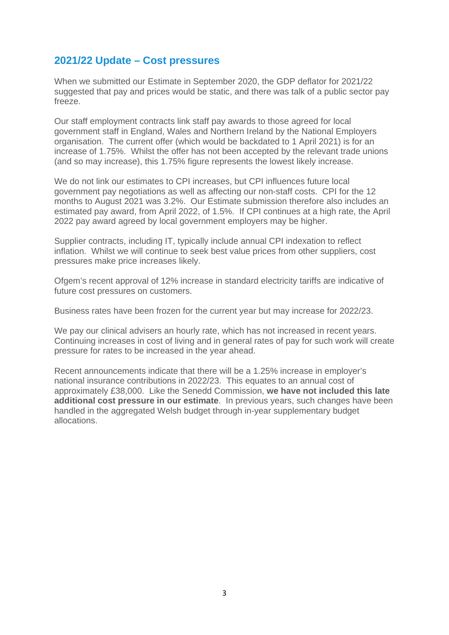### **2021/22 Update – Cost pressures**

When we submitted our Estimate in September 2020, the GDP deflator for 2021/22 suggested that pay and prices would be static, and there was talk of a public sector pay freeze.

Our staff employment contracts link staff pay awards to those agreed for local government staff in England, Wales and Northern Ireland by the National Employers organisation. The current offer (which would be backdated to 1 April 2021) is for an increase of 1.75%. Whilst the offer has not been accepted by the relevant trade unions (and so may increase), this 1.75% figure represents the lowest likely increase.

We do not link our estimates to CPI increases, but CPI influences future local government pay negotiations as well as affecting our non-staff costs. CPI for the 12 months to August 2021 was 3.2%. Our Estimate submission therefore also includes an estimated pay award, from April 2022, of 1.5%. If CPI continues at a high rate, the April 2022 pay award agreed by local government employers may be higher.

Supplier contracts, including IT, typically include annual CPI indexation to reflect inflation. Whilst we will continue to seek best value prices from other suppliers, cost pressures make price increases likely.

Ofgem's recent approval of 12% increase in standard electricity tariffs are indicative of future cost pressures on customers.

Business rates have been frozen for the current year but may increase for 2022/23.

We pay our clinical advisers an hourly rate, which has not increased in recent years. Continuing increases in cost of living and in general rates of pay for such work will create pressure for rates to be increased in the year ahead.

Recent announcements indicate that there will be a 1.25% increase in employer's national insurance contributions in 2022/23. This equates to an annual cost of approximately £38,000. Like the Senedd Commission, **we have not included this late additional cost pressure in our estimate**. In previous years, such changes have been handled in the aggregated Welsh budget through in-year supplementary budget allocations.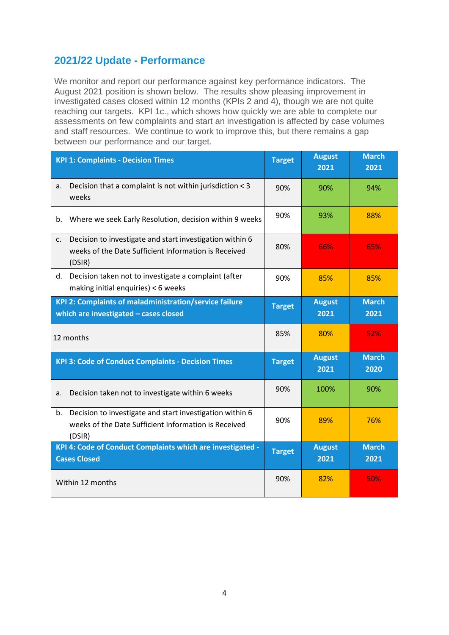## **2021/22 Update - Performance**

We monitor and report our performance against key performance indicators. The August 2021 position is shown below. The results show pleasing improvement in investigated cases closed within 12 months (KPIs 2 and 4), though we are not quite reaching our targets. KPI 1c., which shows how quickly we are able to complete our assessments on few complaints and start an investigation is affected by case volumes and staff resources. We continue to work to improve this, but there remains a gap between our performance and our target.

| <b>KPI 1: Complaints - Decision Times</b>                                                                                                    | <b>Target</b> | <b>August</b><br>2021 | <b>March</b><br>2021 |
|----------------------------------------------------------------------------------------------------------------------------------------------|---------------|-----------------------|----------------------|
| Decision that a complaint is not within jurisdiction < 3<br>a.<br>weeks                                                                      | 90%           | 90%                   | 94%                  |
| Where we seek Early Resolution, decision within 9 weeks<br>b.                                                                                | 90%           | 93%                   | 88%                  |
| Decision to investigate and start investigation within 6<br>$\mathsf{C}$ .<br>weeks of the Date Sufficient Information is Received<br>(DSIR) | 80%           | 66%                   | 65%                  |
| Decision taken not to investigate a complaint (after<br>d.<br>making initial enquiries) < 6 weeks                                            | 90%           | 85%                   | 85%                  |
| KPI 2: Complaints of maladministration/service failure<br>which are investigated - cases closed                                              | <b>Target</b> | <b>August</b><br>2021 | <b>March</b><br>2021 |
| 12 months                                                                                                                                    | 85%           | 80%                   | 52%                  |
|                                                                                                                                              |               |                       |                      |
| <b>KPI 3: Code of Conduct Complaints - Decision Times</b>                                                                                    | <b>Target</b> | <b>August</b><br>2021 | <b>March</b><br>2020 |
| Decision taken not to investigate within 6 weeks<br>a.                                                                                       | 90%           | 100%                  | 90%                  |
| Decision to investigate and start investigation within 6<br>b.<br>weeks of the Date Sufficient Information is Received<br>(DSIR)             | 90%           | 89%                   | 76%                  |
| KPI 4: Code of Conduct Complaints which are investigated -<br><b>Cases Closed</b>                                                            | <b>Target</b> | <b>August</b><br>2021 | <b>March</b><br>2021 |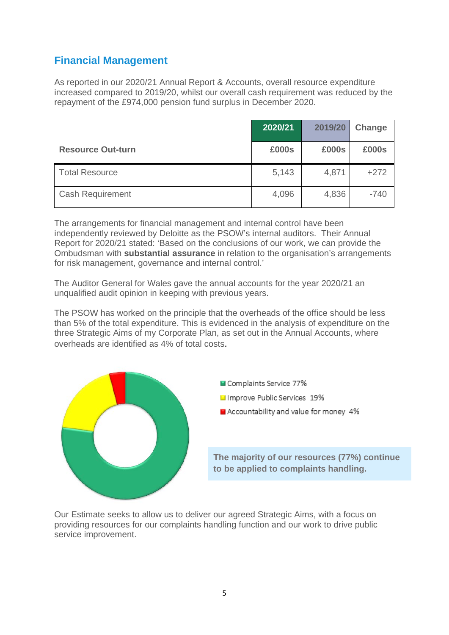# **Financial Management**

As reported in our 2020/21 Annual Report & Accounts, overall resource expenditure increased compared to 2019/20, whilst our overall cash requirement was reduced by the repayment of the £974,000 pension fund surplus in December 2020.

|                          | 2020/21 | 2019/20 | Change |
|--------------------------|---------|---------|--------|
| <b>Resource Out-turn</b> | £000s   | £000s   | £000s  |
| <b>Total Resource</b>    | 5,143   | 4,871   | $+272$ |
| <b>Cash Requirement</b>  | 4,096   | 4,836   | $-740$ |

The arrangements for financial management and internal control have been independently reviewed by Deloitte as the PSOW's internal auditors. Their Annual Report for 2020/21 stated: 'Based on the conclusions of our work, we can provide the Ombudsman with **substantial assurance** in relation to the organisation's arrangements for risk management, governance and internal control.'

The Auditor General for Wales gave the annual accounts for the year 2020/21 an unqualified audit opinion in keeping with previous years.

The PSOW has worked on the principle that the overheads of the office should be less than 5% of the total expenditure. This is evidenced in the analysis of expenditure on the three Strategic Aims of my Corporate Plan, as set out in the Annual Accounts, where overheads are identified as 4% of total costs.



Our Estimate seeks to allow us to deliver our agreed Strategic Aims, with a focus on providing resources for our complaints handling function and our work to drive public service improvement.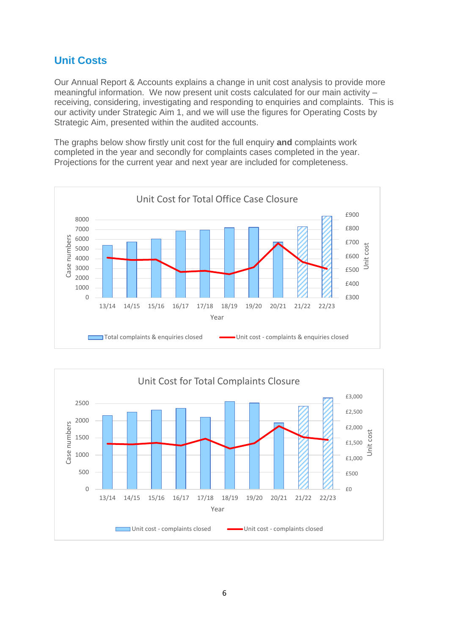# **Unit Costs**

Our Annual Report & Accounts explains a change in unit cost analysis to provide more meaningful information. We now present unit costs calculated for our main activity – receiving, considering, investigating and responding to enquiries and complaints. This is our activity under Strategic Aim 1, and we will use the figures for Operating Costs by Strategic Aim, presented within the audited accounts.

The graphs below show firstly unit cost for the full enquiry **and** complaints work completed in the year and secondly for complaints cases completed in the year. Projections for the current year and next year are included for completeness.



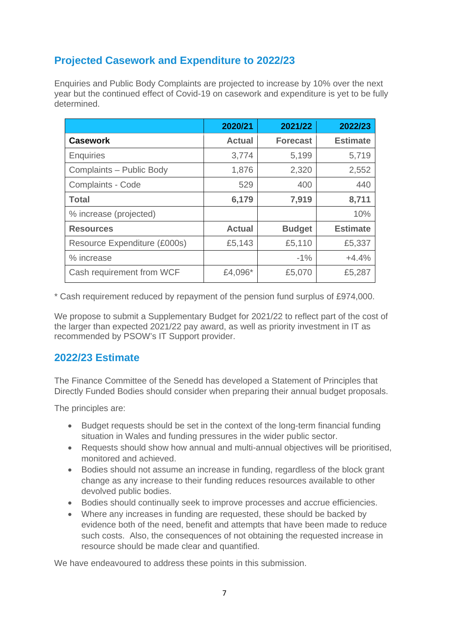# **Projected Casework and Expenditure to 2022/23**

Enquiries and Public Body Complaints are projected to increase by 10% over the next year but the continued effect of Covid-19 on casework and expenditure is yet to be fully determined.

|                              | 2020/21       | 2021/22         | 2022/23         |
|------------------------------|---------------|-----------------|-----------------|
| <b>Casework</b>              | <b>Actual</b> | <b>Forecast</b> | <b>Estimate</b> |
| <b>Enquiries</b>             | 3,774         | 5,199           | 5,719           |
| Complaints - Public Body     | 1,876         | 2,320           | 2,552           |
| <b>Complaints - Code</b>     | 529           | 400             | 440             |
| <b>Total</b>                 | 6,179         | 7,919           | 8,711           |
| % increase (projected)       |               |                 | 10%             |
| <b>Resources</b>             | <b>Actual</b> | <b>Budget</b>   | <b>Estimate</b> |
| Resource Expenditure (£000s) | £5,143        | £5,110          | £5,337          |
| % increase                   |               | $-1%$           | $+4.4%$         |
| Cash requirement from WCF    | £4,096*       | £5,070          | £5,287          |

\* Cash requirement reduced by repayment of the pension fund surplus of £974,000.

We propose to submit a Supplementary Budget for 2021/22 to reflect part of the cost of the larger than expected 2021/22 pay award, as well as priority investment in IT as recommended by PSOW's IT Support provider.

## **2022/23 Estimate**

The Finance Committee of the Senedd has developed a Statement of Principles that Directly Funded Bodies should consider when preparing their annual budget proposals.

The principles are:

- Budget requests should be set in the context of the long-term financial funding situation in Wales and funding pressures in the wider public sector.
- Requests should show how annual and multi-annual objectives will be prioritised, monitored and achieved.
- Bodies should not assume an increase in funding, regardless of the block grant change as any increase to their funding reduces resources available to other devolved public bodies.
- Bodies should continually seek to improve processes and accrue efficiencies.
- Where any increases in funding are requested, these should be backed by evidence both of the need, benefit and attempts that have been made to reduce such costs. Also, the consequences of not obtaining the requested increase in resource should be made clear and quantified.

We have endeavoured to address these points in this submission.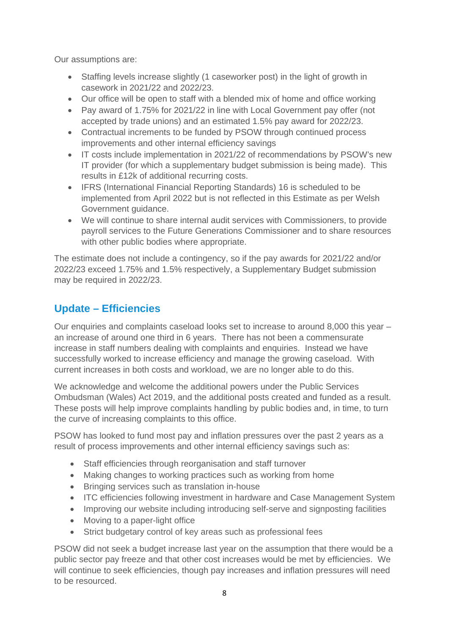Our assumptions are:

- Staffing levels increase slightly (1 caseworker post) in the light of growth in casework in 2021/22 and 2022/23.
- Our office will be open to staff with a blended mix of home and office working
- Pay award of 1.75% for 2021/22 in line with Local Government pay offer (not accepted by trade unions) and an estimated 1.5% pay award for 2022/23.
- Contractual increments to be funded by PSOW through continued process improvements and other internal efficiency savings
- IT costs include implementation in 2021/22 of recommendations by PSOW's new IT provider (for which a supplementary budget submission is being made). This results in £12k of additional recurring costs.
- IFRS (International Financial Reporting Standards) 16 is scheduled to be implemented from April 2022 but is not reflected in this Estimate as per Welsh Government guidance.
- We will continue to share internal audit services with Commissioners, to provide payroll services to the Future Generations Commissioner and to share resources with other public bodies where appropriate.

The estimate does not include a contingency, so if the pay awards for 2021/22 and/or 2022/23 exceed 1.75% and 1.5% respectively, a Supplementary Budget submission may be required in 2022/23.

# **Update – Efficiencies**

Our enquiries and complaints caseload looks set to increase to around 8,000 this year – an increase of around one third in 6 years. There has not been a commensurate increase in staff numbers dealing with complaints and enquiries. Instead we have successfully worked to increase efficiency and manage the growing caseload. With current increases in both costs and workload, we are no longer able to do this.

We acknowledge and welcome the additional powers under the Public Services Ombudsman (Wales) Act 2019, and the additional posts created and funded as a result. These posts will help improve complaints handling by public bodies and, in time, to turn the curve of increasing complaints to this office.

PSOW has looked to fund most pay and inflation pressures over the past 2 years as a result of process improvements and other internal efficiency savings such as:

- Staff efficiencies through reorganisation and staff turnover
- Making changes to working practices such as working from home
- Bringing services such as translation in-house
- ITC efficiencies following investment in hardware and Case Management System
- Improving our website including introducing self-serve and signposting facilities
- Moving to a paper-light office
- Strict budgetary control of key areas such as professional fees

PSOW did not seek a budget increase last year on the assumption that there would be a public sector pay freeze and that other cost increases would be met by efficiencies. We will continue to seek efficiencies, though pay increases and inflation pressures will need to be resourced.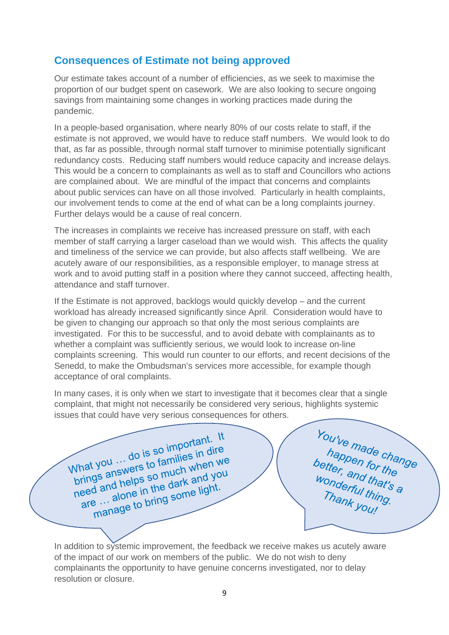### **Consequences of Estimate not being approved**

Our estimate takes account of a number of efficiencies, as we seek to maximise the proportion of our budget spent on casework. We are also looking to secure ongoing savings from maintaining some changes in working practices made during the pandemic.

In a people-based organisation, where nearly 80% of our costs relate to staff, if the estimate is not approved, we would have to reduce staff numbers. We would look to do that, as far as possible, through normal staff turnover to minimise potentially significant redundancy costs. Reducing staff numbers would reduce capacity and increase delays. This would be a concern to complainants as well as to staff and Councillors who actions are complained about. We are mindful of the impact that concerns and complaints about public services can have on all those involved. Particularly in health complaints, our involvement tends to come at the end of what can be a long complaints journey. Further delays would be a cause of real concern.

The increases in complaints we receive has increased pressure on staff, with each member of staff carrying a larger caseload than we would wish. This affects the quality and timeliness of the service we can provide, but also affects staff wellbeing. We are acutely aware of our responsibilities, as a responsible employer, to manage stress at work and to avoid putting staff in a position where they cannot succeed, affecting health, attendance and staff turnover.

If the Estimate is not approved, backlogs would quickly develop – and the current workload has already increased significantly since April. Consideration would have to be given to changing our approach so that only the most serious complaints are investigated. For this to be successful, and to avoid debate with complainants as to whether a complaint was sufficiently serious, we would look to increase on-line complaints screening. This would run counter to our efforts, and recent decisions of the Senedd, to make the Ombudsman's services more accessible, for example though acceptance of oral complaints.

In many cases, it is only when we start to investigate that it becomes clear that a single complaint, that might not necessarily be considered very serious, highlights systemic issues that could have very serious consequences for others.

What you ... do is so important. It<br>what you ... do is so important. It<br>when we so much when we What you ... do is so important. "<br>brings answers to families in dire<br>brings answers so much when we<br>ad and helps so much and you What you ... do is so millies in dire<br>brings answers to families in direction<br>prings and helps so much when we<br>need and helps in the dark and you hat you ...<br>the so much when we<br>prings and helps so much when we<br>leed and helps so much and you<br>are ... alone in the dark and you<br>are ... alone to bring some light. d and helps so the dark and year.<br>alone in the dark and year.<br>e ... alone in the some light.

You've made change<br>happen for the<br>better, and that's a<br>wonderful that's a<br>Thank you! Thank you!

In addition to systemic improvement, the feedback we receive makes us acutely aware of the impact of our work on members of the public. We do not wish to deny complainants the opportunity to have genuine concerns investigated, nor to delay resolution or closure.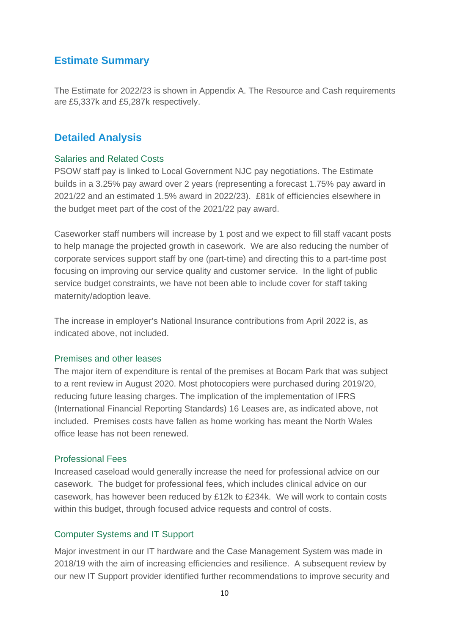## **Estimate Summary**

The Estimate for 2022/23 is shown in Appendix A. The Resource and Cash requirements are £5,337k and £5,287k respectively.

### **Detailed Analysis**

#### Salaries and Related Costs

PSOW staff pay is linked to Local Government NJC pay negotiations. The Estimate builds in a 3.25% pay award over 2 years (representing a forecast 1.75% pay award in 2021/22 and an estimated 1.5% award in 2022/23). £81k of efficiencies elsewhere in the budget meet part of the cost of the 2021/22 pay award.

Caseworker staff numbers will increase by 1 post and we expect to fill staff vacant posts to help manage the projected growth in casework. We are also reducing the number of corporate services support staff by one (part-time) and directing this to a part-time post focusing on improving our service quality and customer service. In the light of public service budget constraints, we have not been able to include cover for staff taking maternity/adoption leave.

The increase in employer's National Insurance contributions from April 2022 is, as indicated above, not included.

#### Premises and other leases

The major item of expenditure is rental of the premises at Bocam Park that was subject to a rent review in August 2020. Most photocopiers were purchased during 2019/20, reducing future leasing charges. The implication of the implementation of IFRS (International Financial Reporting Standards) 16 Leases are, as indicated above, not included. Premises costs have fallen as home working has meant the North Wales office lease has not been renewed.

#### Professional Fees

Increased caseload would generally increase the need for professional advice on our casework. The budget for professional fees, which includes clinical advice on our casework, has however been reduced by £12k to £234k. We will work to contain costs within this budget, through focused advice requests and control of costs.

#### Computer Systems and IT Support

Major investment in our IT hardware and the Case Management System was made in 2018/19 with the aim of increasing efficiencies and resilience. A subsequent review by our new IT Support provider identified further recommendations to improve security and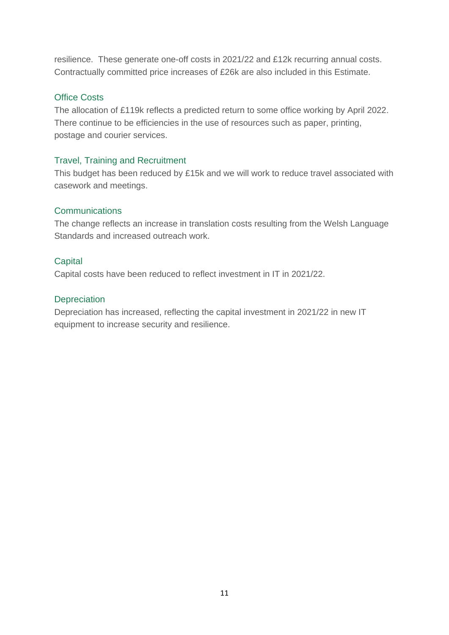resilience. These generate one-off costs in 2021/22 and £12k recurring annual costs. Contractually committed price increases of £26k are also included in this Estimate.

### Office Costs

The allocation of £119k reflects a predicted return to some office working by April 2022. There continue to be efficiencies in the use of resources such as paper, printing, postage and courier services.

#### Travel, Training and Recruitment

This budget has been reduced by £15k and we will work to reduce travel associated with casework and meetings.

#### **Communications**

The change reflects an increase in translation costs resulting from the Welsh Language Standards and increased outreach work.

### **Capital**

Capital costs have been reduced to reflect investment in IT in 2021/22.

### **Depreciation**

Depreciation has increased, reflecting the capital investment in 2021/22 in new IT equipment to increase security and resilience.